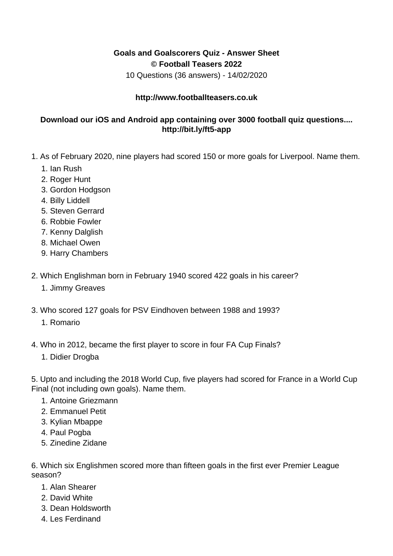## **Goals and Goalscorers Quiz - Answer Sheet © Football Teasers 2022**

10 Questions (36 answers) - 14/02/2020

## **http://www.footballteasers.co.uk**

## **Download our iOS and Android app containing over 3000 football quiz questions.... http://bit.ly/ft5-app**

- 1. As of February 2020, nine players had scored 150 or more goals for Liverpool. Name them.
	- 1. Ian Rush
	- 2. Roger Hunt
	- 3. Gordon Hodgson
	- 4. Billy Liddell
	- 5. Steven Gerrard
	- 6. Robbie Fowler
	- 7. Kenny Dalglish
	- 8. Michael Owen
	- 9. Harry Chambers
- 2. Which Englishman born in February 1940 scored 422 goals in his career?
	- 1. Jimmy Greaves
- 3. Who scored 127 goals for PSV Eindhoven between 1988 and 1993?
	- 1. Romario
- 4. Who in 2012, became the first player to score in four FA Cup Finals?
	- 1. Didier Drogba

5. Upto and including the 2018 World Cup, five players had scored for France in a World Cup Final (not including own goals). Name them.

- 1. Antoine Griezmann
- 2. Emmanuel Petit
- 3. Kylian Mbappe
- 4. Paul Pogba
- 5. Zinedine Zidane

6. Which six Englishmen scored more than fifteen goals in the first ever Premier League season?

- 1. Alan Shearer
- 2. David White
- 3. Dean Holdsworth
- 4. Les Ferdinand